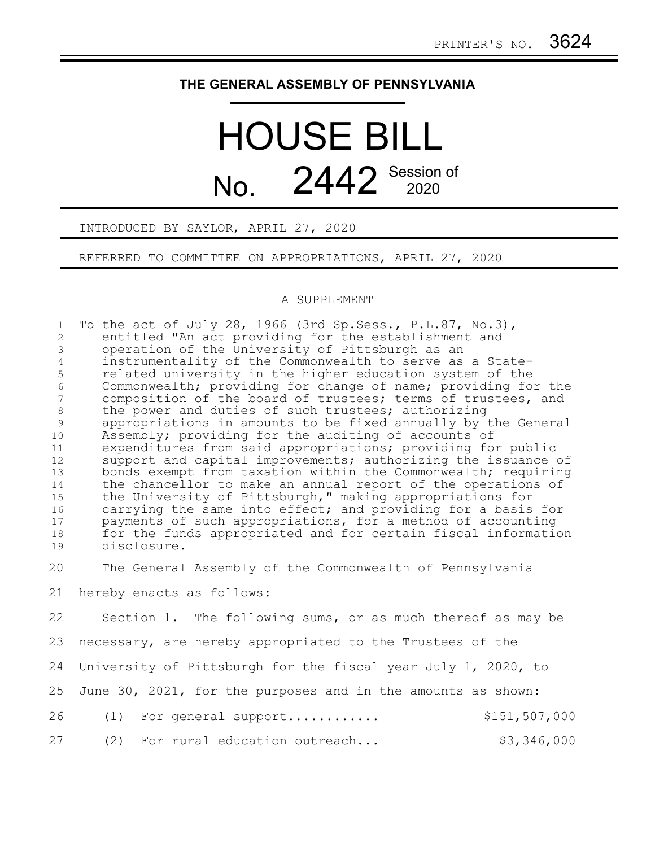## **THE GENERAL ASSEMBLY OF PENNSYLVANIA**

## HOUSE BILL No. 2442 Session of

INTRODUCED BY SAYLOR, APRIL 27, 2020

REFERRED TO COMMITTEE ON APPROPRIATIONS, APRIL 27, 2020

## A SUPPLEMENT

| $\mathbf{1}$<br>2<br>$\mathfrak{Z}$<br>$\overline{4}$<br>5<br>6<br>$\overline{7}$<br>$\,8\,$<br>9<br>10<br>11<br>12<br>13<br>14<br>15<br>16<br>17<br>18 | To the act of July 28, 1966 (3rd Sp. Sess., P. L. 87, No. 3),<br>entitled "An act providing for the establishment and<br>operation of the University of Pittsburgh as an<br>instrumentality of the Commonwealth to serve as a State-<br>related university in the higher education system of the<br>Commonwealth; providing for change of name; providing for the<br>composition of the board of trustees; terms of trustees, and<br>the power and duties of such trustees; authorizing<br>appropriations in amounts to be fixed annually by the General<br>Assembly; providing for the auditing of accounts of<br>expenditures from said appropriations; providing for public<br>support and capital improvements; authorizing the issuance of<br>bonds exempt from taxation within the Commonwealth; requiring<br>the chancellor to make an annual report of the operations of<br>the University of Pittsburgh," making appropriations for<br>carrying the same into effect; and providing for a basis for<br>payments of such appropriations, for a method of accounting<br>for the funds appropriated and for certain fiscal information |
|---------------------------------------------------------------------------------------------------------------------------------------------------------|----------------------------------------------------------------------------------------------------------------------------------------------------------------------------------------------------------------------------------------------------------------------------------------------------------------------------------------------------------------------------------------------------------------------------------------------------------------------------------------------------------------------------------------------------------------------------------------------------------------------------------------------------------------------------------------------------------------------------------------------------------------------------------------------------------------------------------------------------------------------------------------------------------------------------------------------------------------------------------------------------------------------------------------------------------------------------------------------------------------------------------------------|
| 19                                                                                                                                                      | disclosure.                                                                                                                                                                                                                                                                                                                                                                                                                                                                                                                                                                                                                                                                                                                                                                                                                                                                                                                                                                                                                                                                                                                                  |
| 20                                                                                                                                                      | The General Assembly of the Commonwealth of Pennsylvania                                                                                                                                                                                                                                                                                                                                                                                                                                                                                                                                                                                                                                                                                                                                                                                                                                                                                                                                                                                                                                                                                     |
| 21                                                                                                                                                      | hereby enacts as follows:                                                                                                                                                                                                                                                                                                                                                                                                                                                                                                                                                                                                                                                                                                                                                                                                                                                                                                                                                                                                                                                                                                                    |
| 22                                                                                                                                                      | Section 1. The following sums, or as much thereof as may be                                                                                                                                                                                                                                                                                                                                                                                                                                                                                                                                                                                                                                                                                                                                                                                                                                                                                                                                                                                                                                                                                  |
| 23                                                                                                                                                      | necessary, are hereby appropriated to the Trustees of the                                                                                                                                                                                                                                                                                                                                                                                                                                                                                                                                                                                                                                                                                                                                                                                                                                                                                                                                                                                                                                                                                    |
| 24                                                                                                                                                      | University of Pittsburgh for the fiscal year July 1, 2020, to                                                                                                                                                                                                                                                                                                                                                                                                                                                                                                                                                                                                                                                                                                                                                                                                                                                                                                                                                                                                                                                                                |
| 25                                                                                                                                                      | June 30, 2021, for the purposes and in the amounts as shown:                                                                                                                                                                                                                                                                                                                                                                                                                                                                                                                                                                                                                                                                                                                                                                                                                                                                                                                                                                                                                                                                                 |
| 26                                                                                                                                                      | \$151,507,000<br>For general support<br>(1)                                                                                                                                                                                                                                                                                                                                                                                                                                                                                                                                                                                                                                                                                                                                                                                                                                                                                                                                                                                                                                                                                                  |
| 27                                                                                                                                                      | \$3,346,000<br>(2)<br>For rural education outreach                                                                                                                                                                                                                                                                                                                                                                                                                                                                                                                                                                                                                                                                                                                                                                                                                                                                                                                                                                                                                                                                                           |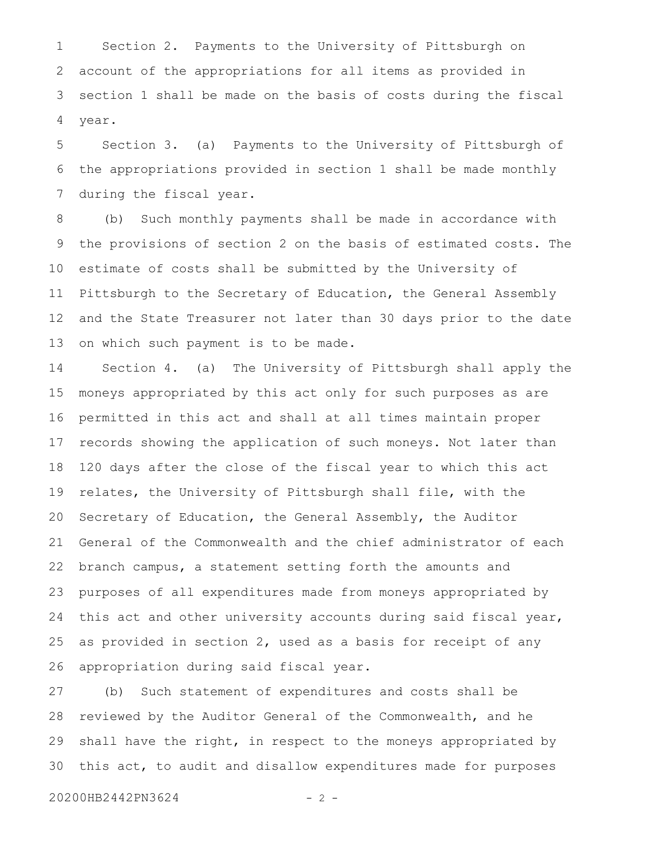Section 2. Payments to the University of Pittsburgh on account of the appropriations for all items as provided in section 1 shall be made on the basis of costs during the fiscal year. 1 2 3 4

Section 3. (a) Payments to the University of Pittsburgh of the appropriations provided in section 1 shall be made monthly during the fiscal year. 5 6 7

(b) Such monthly payments shall be made in accordance with the provisions of section 2 on the basis of estimated costs. The estimate of costs shall be submitted by the University of Pittsburgh to the Secretary of Education, the General Assembly and the State Treasurer not later than 30 days prior to the date on which such payment is to be made. 8 9 10 11 12 13

Section 4. (a) The University of Pittsburgh shall apply the moneys appropriated by this act only for such purposes as are permitted in this act and shall at all times maintain proper records showing the application of such moneys. Not later than 120 days after the close of the fiscal year to which this act relates, the University of Pittsburgh shall file, with the Secretary of Education, the General Assembly, the Auditor General of the Commonwealth and the chief administrator of each branch campus, a statement setting forth the amounts and purposes of all expenditures made from moneys appropriated by this act and other university accounts during said fiscal year, as provided in section 2, used as a basis for receipt of any appropriation during said fiscal year. 14 15 16 17 18 19 20 21 22 23 24 25 26

(b) Such statement of expenditures and costs shall be reviewed by the Auditor General of the Commonwealth, and he shall have the right, in respect to the moneys appropriated by this act, to audit and disallow expenditures made for purposes 27 28 29 30

20200HB2442PN3624 - 2 -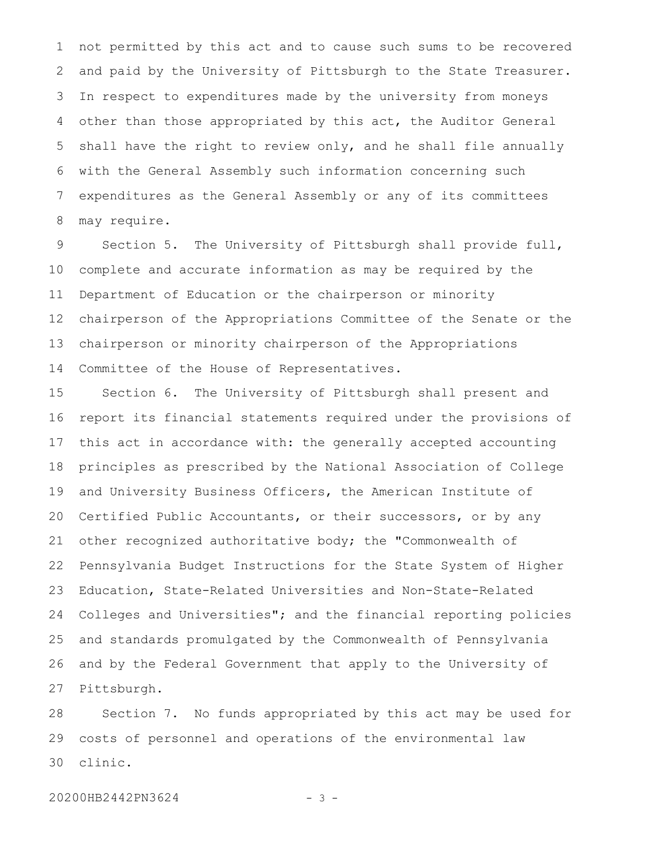not permitted by this act and to cause such sums to be recovered and paid by the University of Pittsburgh to the State Treasurer. In respect to expenditures made by the university from moneys other than those appropriated by this act, the Auditor General shall have the right to review only, and he shall file annually with the General Assembly such information concerning such expenditures as the General Assembly or any of its committees may require. 1 2 3 4 5 6 7 8

Section 5. The University of Pittsburgh shall provide full, complete and accurate information as may be required by the Department of Education or the chairperson or minority chairperson of the Appropriations Committee of the Senate or the chairperson or minority chairperson of the Appropriations Committee of the House of Representatives. 9 10 11 12 13 14

Section 6. The University of Pittsburgh shall present and report its financial statements required under the provisions of this act in accordance with: the generally accepted accounting principles as prescribed by the National Association of College and University Business Officers, the American Institute of Certified Public Accountants, or their successors, or by any other recognized authoritative body; the "Commonwealth of Pennsylvania Budget Instructions for the State System of Higher Education, State-Related Universities and Non-State-Related Colleges and Universities"; and the financial reporting policies and standards promulgated by the Commonwealth of Pennsylvania and by the Federal Government that apply to the University of Pittsburgh. 15 16 17 18 19 20 21 22 23 24 25 26 27

Section 7. No funds appropriated by this act may be used for costs of personnel and operations of the environmental law clinic. 28 29 30

20200HB2442PN3624 - 3 -